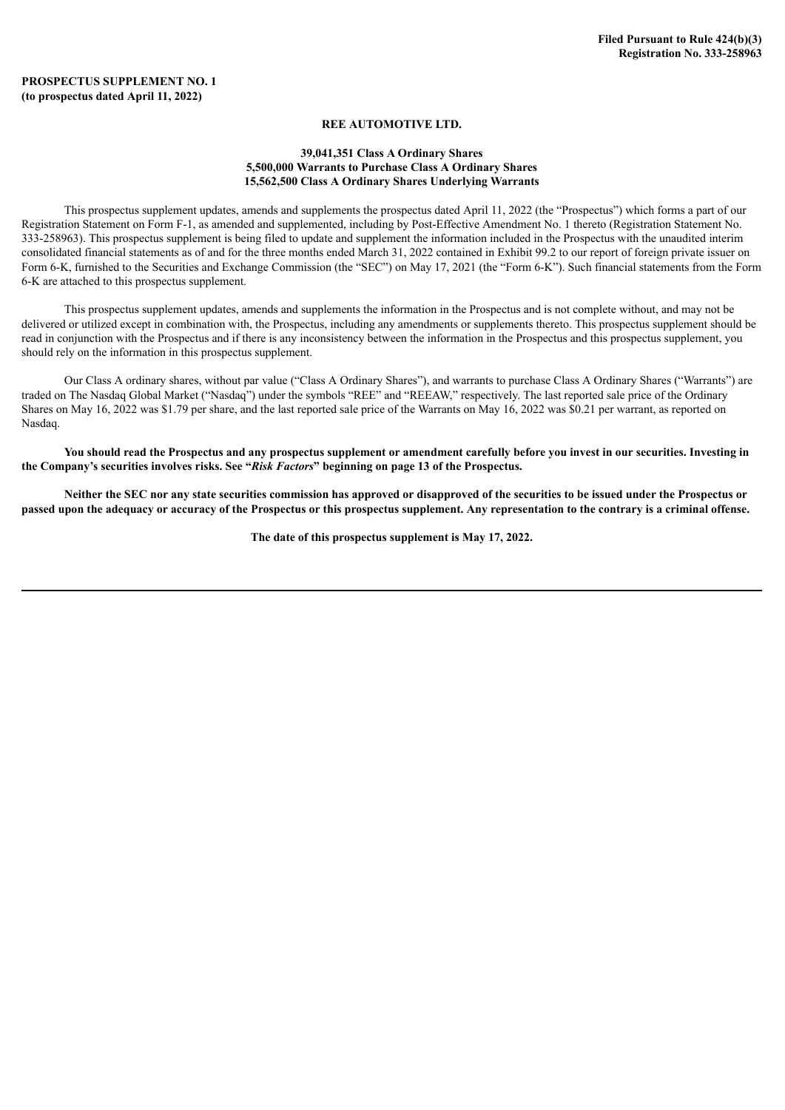## **REE AUTOMOTIVE LTD.**

### **39,041,351 Class A Ordinary Shares 5,500,000 Warrants to Purchase Class A Ordinary Shares 15,562,500 Class A Ordinary Shares Underlying Warrants**

This prospectus supplement updates, amends and supplements the prospectus dated April 11, 2022 (the "Prospectus") which forms a part of our Registration Statement on Form F-1, as amended and supplemented, including by Post-Effective Amendment No. 1 thereto (Registration Statement No. 333-258963). This prospectus supplement is being filed to update and supplement the information included in the Prospectus with the unaudited interim consolidated financial statements as of and for the three months ended March 31, 2022 contained in Exhibit 99.2 to our report of foreign private issuer on Form 6-K, furnished to the Securities and Exchange Commission (the "SEC") on May 17, 2021 (the "Form 6-K"). Such financial statements from the Form 6-K are attached to this prospectus supplement.

This prospectus supplement updates, amends and supplements the information in the Prospectus and is not complete without, and may not be delivered or utilized except in combination with, the Prospectus, including any amendments or supplements thereto. This prospectus supplement should be read in conjunction with the Prospectus and if there is any inconsistency between the information in the Prospectus and this prospectus supplement, you should rely on the information in this prospectus supplement.

Our Class A ordinary shares, without par value ("Class A Ordinary Shares"), and warrants to purchase Class A Ordinary Shares ("Warrants") are traded on The Nasdaq Global Market ("Nasdaq") under the symbols "REE" and "REEAW," respectively. The last reported sale price of the Ordinary Shares on May 16, 2022 was \$1.79 per share, and the last reported sale price of the Warrants on May 16, 2022 was \$0.21 per warrant, as reported on Nasdaq.

You should read the Prospectus and any prospectus supplement or amendment carefully before you invest in our securities. Investing in **the Company's securities involves risks. See "***Risk Factors***" beginning on page 13 of the Prospectus.**

Neither the SEC nor any state securities commission has approved or disapproved of the securities to be issued under the Prospectus or passed upon the adequacy or accuracy of the Prospectus or this prospectus supplement. Any representation to the contrary is a criminal offense.

**The date of this prospectus supplement is May 17, 2022.**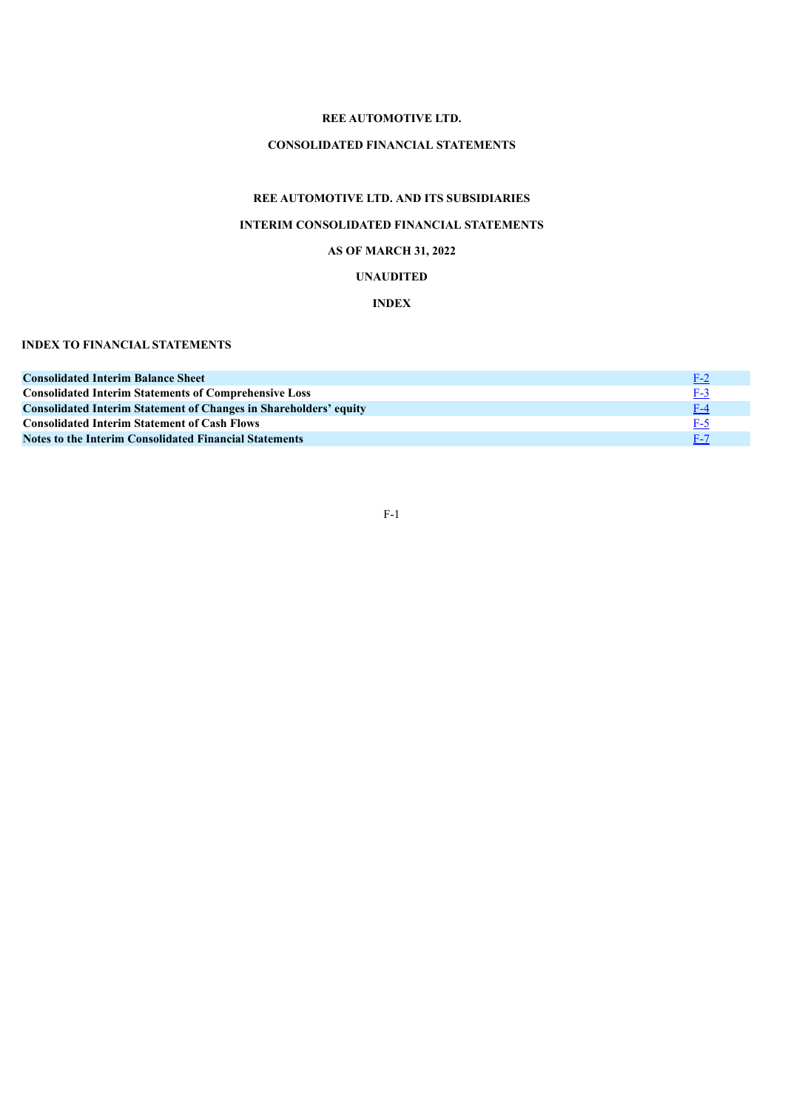## **REE AUTOMOTIVE LTD.**

# **CONSOLIDATED FINANCIAL STATEMENTS**

# **REE AUTOMOTIVE LTD. AND ITS SUBSIDIARIES**

# **INTERIM CONSOLIDATED FINANCIAL STATEMENTS**

# **AS OF MARCH 31, 2022**

# **UNAUDITED**

# **INDEX**

# **INDEX TO FINANCIAL STATEMENTS**

<span id="page-1-0"></span>

| <b>Consolidated Interim Balance Sheet</b>                                | $F-2$      |
|--------------------------------------------------------------------------|------------|
| <b>Consolidated Interim Statements of Comprehensive Loss</b>             | $F-3$      |
| <b>Consolidated Interim Statement of Changes in Shareholders' equity</b> | $F-4$      |
| <b>Consolidated Interim Statement of Cash Flows</b>                      | $F-5$      |
| <b>Notes to the Interim Consolidated Financial Statements</b>            | <b>F-7</b> |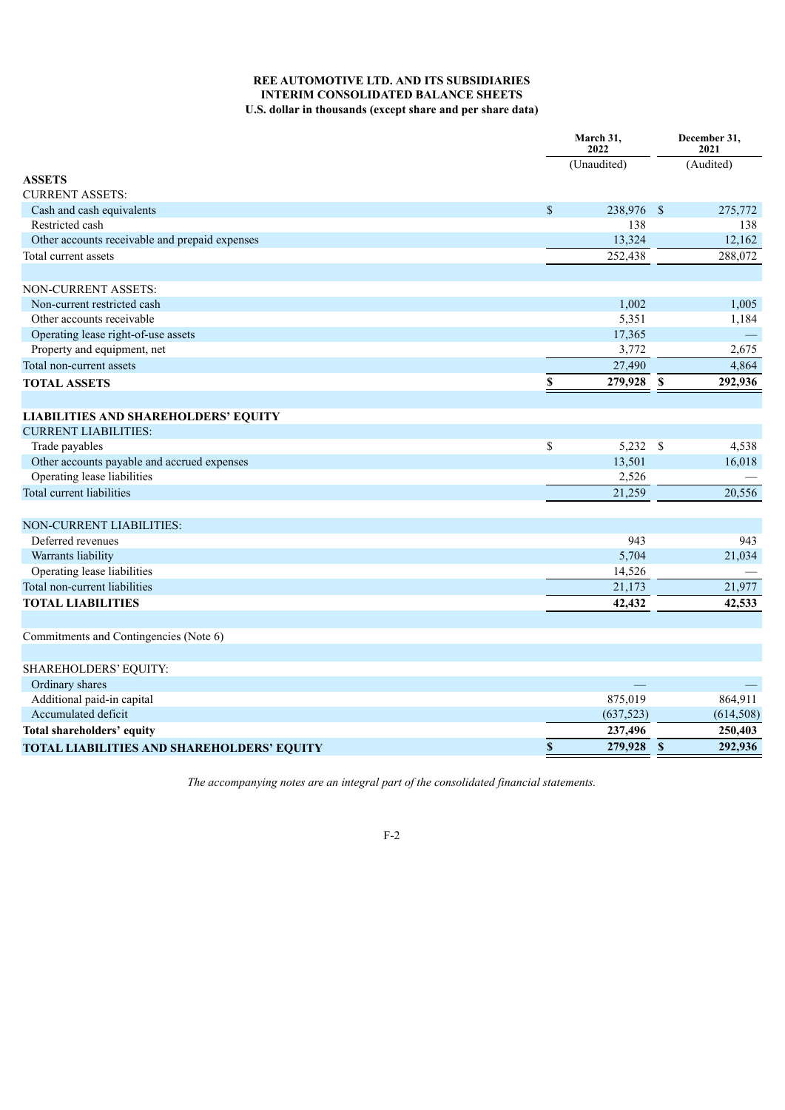# **REE AUTOMOTIVE LTD. AND ITS SUBSIDIARIES INTERIM CONSOLIDATED BALANCE SHEETS U.S. dollar in thousands (except share and per share data)**

|                                                |                           | March 31,<br>2022 |              | December 31,<br>2021 |  |
|------------------------------------------------|---------------------------|-------------------|--------------|----------------------|--|
|                                                |                           | (Unaudited)       |              | (Audited)            |  |
| <b>ASSETS</b>                                  |                           |                   |              |                      |  |
| <b>CURRENT ASSETS:</b>                         |                           |                   |              |                      |  |
| Cash and cash equivalents                      | $\boldsymbol{\mathsf{S}}$ | 238,976 \$        |              | 275,772              |  |
| Restricted cash                                |                           | 138               |              | 138                  |  |
| Other accounts receivable and prepaid expenses |                           | 13,324            |              | 12,162               |  |
| Total current assets                           |                           | 252,438           |              | 288,072              |  |
|                                                |                           |                   |              |                      |  |
| NON-CURRENT ASSETS:                            |                           |                   |              |                      |  |
| Non-current restricted cash                    |                           | 1,002             |              | 1,005                |  |
| Other accounts receivable                      |                           | 5,351             |              | 1,184                |  |
| Operating lease right-of-use assets            |                           | 17,365            |              |                      |  |
| Property and equipment, net                    |                           | 3,772             |              | 2,675                |  |
| Total non-current assets                       |                           | 27,490            |              | 4,864                |  |
| <b>TOTAL ASSETS</b>                            | \$                        | 279,928           | \$           | 292,936              |  |
|                                                |                           |                   |              |                      |  |
| <b>LIABILITIES AND SHAREHOLDERS' EQUITY</b>    |                           |                   |              |                      |  |
| <b>CURRENT LIABILITIES:</b>                    |                           |                   |              |                      |  |
| Trade payables                                 | \$                        | $5,232$ \$        |              | 4,538                |  |
| Other accounts payable and accrued expenses    |                           | 13,501            |              | 16,018               |  |
| Operating lease liabilities                    |                           | 2,526             |              |                      |  |
| Total current liabilities                      |                           | 21,259            |              | 20,556               |  |
|                                                |                           |                   |              |                      |  |
| <b>NON-CURRENT LIABILITIES:</b>                |                           |                   |              |                      |  |
| Deferred revenues                              |                           | 943               |              | 943                  |  |
| Warrants liability                             |                           | 5,704             |              | 21,034               |  |
| Operating lease liabilities                    |                           | 14,526            |              |                      |  |
| Total non-current liabilities                  |                           | 21,173            |              | 21,977               |  |
| <b>TOTAL LIABILITIES</b>                       |                           | 42,432            |              | 42,533               |  |
|                                                |                           |                   |              |                      |  |
| Commitments and Contingencies (Note 6)         |                           |                   |              |                      |  |
| SHAREHOLDERS' EQUITY:                          |                           |                   |              |                      |  |
| Ordinary shares                                |                           |                   |              |                      |  |
| Additional paid-in capital                     |                           | 875,019           |              | 864,911              |  |
| Accumulated deficit                            |                           | (637, 523)        |              | (614, 508)           |  |
| Total shareholders' equity                     |                           | 237,496           |              | 250,403              |  |
|                                                | $\boldsymbol{\mathsf{S}}$ | 279,928           | $\mathbf{s}$ | 292,936              |  |
| TOTAL LIABILITIES AND SHAREHOLDERS' EQUITY     |                           |                   |              |                      |  |

<span id="page-2-0"></span>*The accompanying notes are an integral part of the consolidated financial statements.*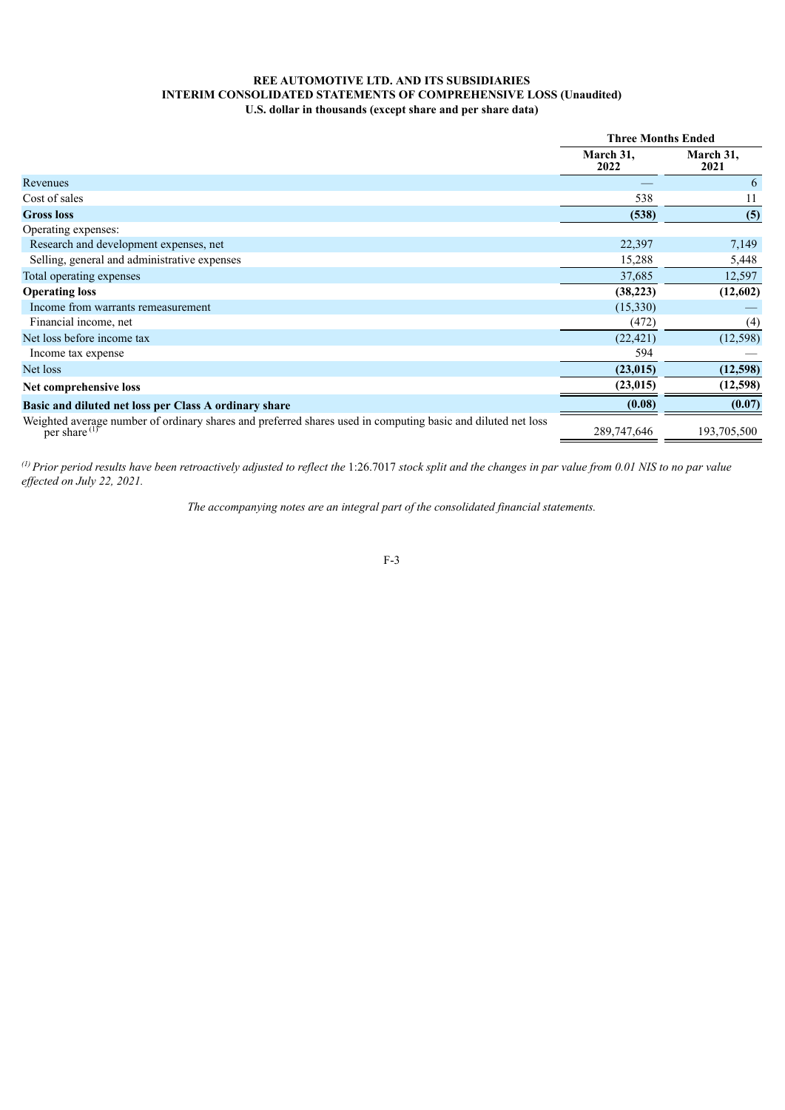## **REE AUTOMOTIVE LTD. AND ITS SUBSIDIARIES INTERIM CONSOLIDATED STATEMENTS OF COMPREHENSIVE LOSS (Unaudited) U.S. dollar in thousands (except share and per share data)**

|                                                                                                                                       | <b>Three Months Ended</b> |                   |
|---------------------------------------------------------------------------------------------------------------------------------------|---------------------------|-------------------|
|                                                                                                                                       | March 31,<br>2022         | March 31,<br>2021 |
| Revenues                                                                                                                              |                           | 6                 |
| Cost of sales                                                                                                                         | 538                       | 11                |
| <b>Gross loss</b>                                                                                                                     | (538)                     | (5)               |
| Operating expenses:                                                                                                                   |                           |                   |
| Research and development expenses, net                                                                                                | 22,397                    | 7,149             |
| Selling, general and administrative expenses                                                                                          | 15,288                    | 5,448             |
| Total operating expenses                                                                                                              | 37,685                    | 12,597            |
| <b>Operating loss</b>                                                                                                                 | (38, 223)                 | (12,602)          |
| Income from warrants remeasurement                                                                                                    | (15,330)                  |                   |
| Financial income, net                                                                                                                 | (472)                     | (4)               |
| Net loss before income tax                                                                                                            | (22, 421)                 | (12, 598)         |
| Income tax expense                                                                                                                    | 594                       |                   |
| Net loss                                                                                                                              | (23, 015)                 | (12,598)          |
| Net comprehensive loss                                                                                                                | (23, 015)                 | (12,598)          |
| Basic and diluted net loss per Class A ordinary share                                                                                 | (0.08)                    | (0.07)            |
| Weighted average number of ordinary shares and preferred shares used in computing basic and diluted net loss per share <sup>(1)</sup> | 289,747,646               | 193,705,500       |

<span id="page-3-0"></span>(*i*) Prior period results have been retroactively adjusted to reflect the 1:26.7017 stock split and the changes in par value from 0.01 NIS to no par value *ef ected on July 22, 2021.*

*The accompanying notes are an integral part of the consolidated financial statements.*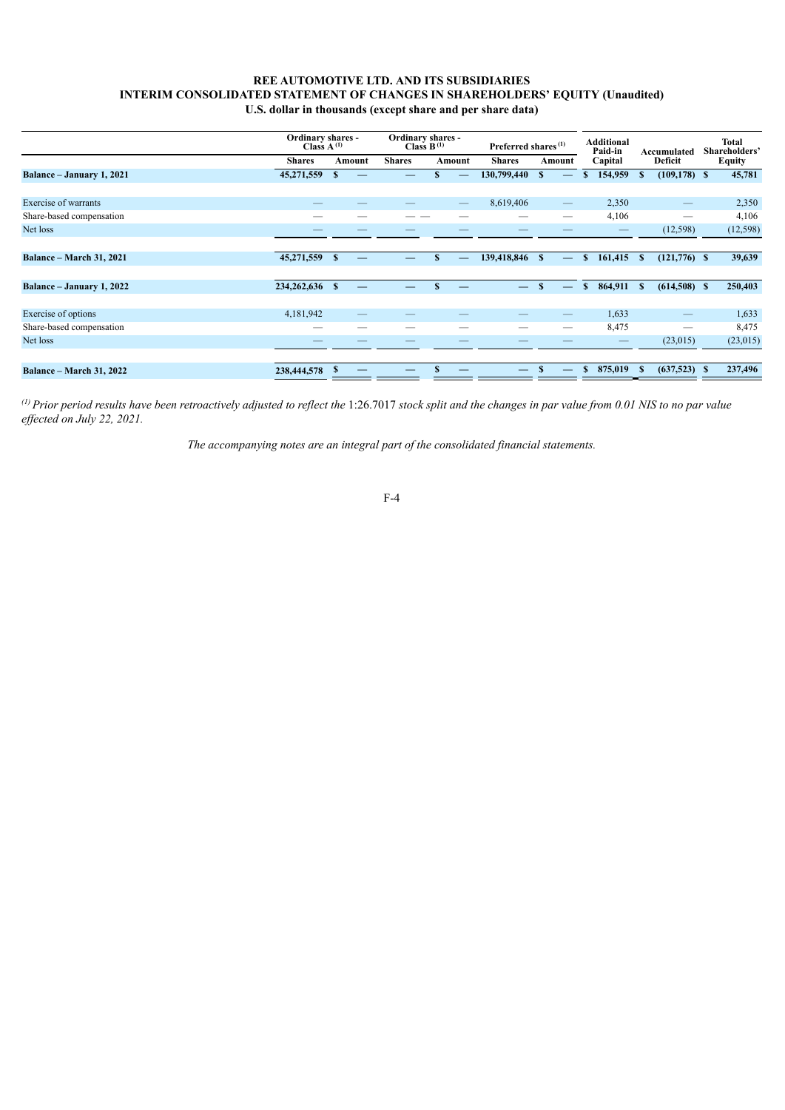## **REE AUTOMOTIVE LTD. AND ITS SUBSIDIARIES INTERIM CONSOLIDATED STATEMENT OF CHANGES IN SHAREHOLDERS' EQUITY (Unaudited) U.S. dollar in thousands (except share and per share data)**

|                                 | Ordinary shares -<br>Class $A^{(1)}$ |              |        | Ordinary shares -<br>Class $B^{(1)}$ |   |                          | Preferred shares <sup>(1)</sup> |              |                                 | <b>Additional</b><br>Paid-in<br>Capital |            | Accumulated<br><b>Deficit</b> |                          | Total<br>Shareholders'<br><b>Equity</b> |           |
|---------------------------------|--------------------------------------|--------------|--------|--------------------------------------|---|--------------------------|---------------------------------|--------------|---------------------------------|-----------------------------------------|------------|-------------------------------|--------------------------|-----------------------------------------|-----------|
|                                 | <b>Shares</b>                        |              | Amount | <b>Shares</b>                        |   | Amount                   | <b>Shares</b>                   |              | Amount                          |                                         |            |                               |                          |                                         |           |
| Balance - January 1, 2021       | 45,271,559                           | $\mathbf{s}$ |        |                                      |   |                          | 130,799,440                     | $\mathbf{s}$ |                                 | \$                                      | 154,959    | $\mathbf{s}$                  | $(109, 178)$ \$          |                                         | 45,781    |
|                                 |                                      |              |        |                                      |   |                          |                                 |              |                                 |                                         |            |                               |                          |                                         |           |
| Exercise of warrants            |                                      |              |        |                                      |   | $\overline{\phantom{m}}$ | 8,619,406                       |              | $\hspace{0.1mm}-\hspace{0.1mm}$ |                                         | 2,350      |                               |                          |                                         | 2,350     |
| Share-based compensation        |                                      |              |        |                                      |   |                          |                                 |              | --                              |                                         | 4,106      |                               |                          |                                         | 4,106     |
| Net loss                        |                                      |              |        |                                      |   |                          |                                 |              |                                 |                                         |            |                               | (12, 598)                |                                         | (12, 598) |
|                                 |                                      |              |        |                                      |   |                          |                                 |              |                                 |                                         |            |                               |                          |                                         |           |
| <b>Balance – March 31, 2021</b> | 45,271,559 \$                        |              |        |                                      | S |                          | 139,418,846 \$                  |              | $\overline{\phantom{m}}$        | $\mathbf{s}$                            | 161,415 \$ |                               | $(121,776)$ \$           |                                         | 39,639    |
|                                 |                                      |              |        |                                      |   |                          |                                 |              |                                 |                                         |            |                               |                          |                                         |           |
| Balance - January 1, 2022       | 234,262,636 \$                       |              |        |                                      | S |                          | $\overline{\phantom{a}}$        | $\mathbf{S}$ |                                 | $\mathbf{s}$                            | 864,911    | $\mathbf{s}$                  | $(614,508)$ \$           |                                         | 250,403   |
|                                 |                                      |              |        |                                      |   |                          |                                 |              |                                 |                                         |            |                               |                          |                                         |           |
| Exercise of options             | 4,181,942                            |              | –      |                                      |   |                          |                                 |              |                                 |                                         | 1,633      |                               | $\overline{\phantom{0}}$ |                                         | 1,633     |
| Share-based compensation        | –                                    |              |        |                                      |   |                          |                                 |              | —                               |                                         | 8,475      |                               | $\overline{\phantom{0}}$ |                                         | 8,475     |
| Net loss                        |                                      |              |        |                                      |   |                          |                                 |              |                                 |                                         |            |                               | (23,015)                 |                                         | (23, 015) |
|                                 |                                      |              |        |                                      |   |                          |                                 |              |                                 |                                         |            |                               |                          |                                         |           |
| <b>Balance - March 31, 2022</b> | 238,444,578                          |              |        |                                      |   |                          |                                 |              |                                 | $\mathbf{s}$                            | 875,019    | - \$                          | $(637,523)$ \$           |                                         | 237,496   |

<span id="page-4-0"></span>(*i*) Prior period results have been retroactively adjusted to reflect the 1:26.7017 stock split and the changes in par value from 0.01 NIS to no par value *ef ected on July 22, 2021.*

*The accompanying notes are an integral part of the consolidated financial statements.*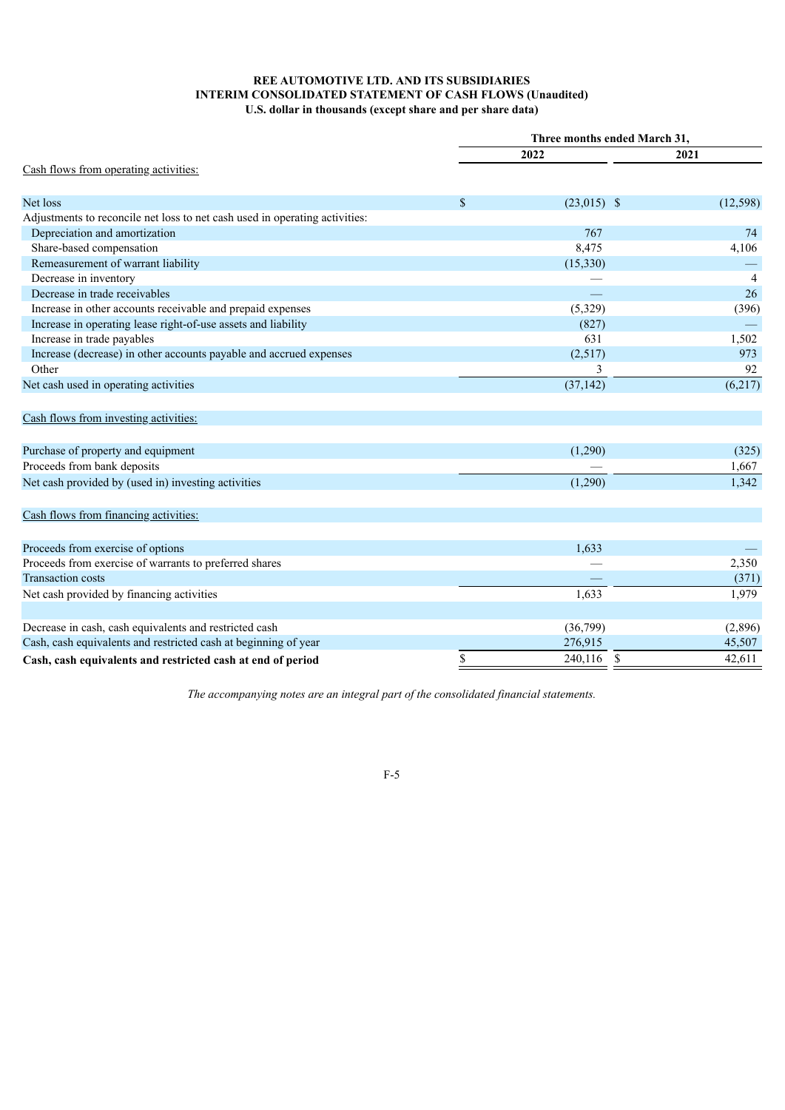# **REE AUTOMOTIVE LTD. AND ITS SUBSIDIARIES INTERIM CONSOLIDATED STATEMENT OF CASH FLOWS (Unaudited) U.S. dollar in thousands (except share and per share data)**

|                                                                             | Three months ended March 31, |               |                         |
|-----------------------------------------------------------------------------|------------------------------|---------------|-------------------------|
|                                                                             |                              | 2022          | 2021                    |
| Cash flows from operating activities:                                       |                              |               |                         |
| Net loss                                                                    | \$                           | $(23,015)$ \$ | (12, 598)               |
| Adjustments to reconcile net loss to net cash used in operating activities: |                              |               |                         |
| Depreciation and amortization                                               |                              | 767           | 74                      |
| Share-based compensation                                                    |                              | 8,475         | 4,106                   |
| Remeasurement of warrant liability                                          |                              | (15, 330)     |                         |
| Decrease in inventory                                                       |                              |               | $\overline{4}$          |
| Decrease in trade receivables                                               |                              |               | 26                      |
| Increase in other accounts receivable and prepaid expenses                  |                              | (5,329)       | (396)                   |
| Increase in operating lease right-of-use assets and liability               |                              | (827)         |                         |
| Increase in trade payables                                                  |                              | 631           | 1,502                   |
| Increase (decrease) in other accounts payable and accrued expenses          |                              | (2,517)       | 973                     |
| Other                                                                       |                              | 3             | 92                      |
| Net cash used in operating activities                                       |                              | (37, 142)     | (6,217)                 |
| Cash flows from investing activities:                                       |                              |               |                         |
| Purchase of property and equipment                                          |                              | (1,290)       | (325)                   |
| Proceeds from bank deposits                                                 |                              |               | 1,667                   |
| Net cash provided by (used in) investing activities                         |                              | (1,290)       | 1,342                   |
| Cash flows from financing activities:                                       |                              |               |                         |
| Proceeds from exercise of options                                           |                              | 1,633         |                         |
| Proceeds from exercise of warrants to preferred shares                      |                              |               | 2,350                   |
| <b>Transaction costs</b>                                                    |                              |               | (371)                   |
| Net cash provided by financing activities                                   |                              | 1,633         | 1,979                   |
| Decrease in cash, cash equivalents and restricted cash                      |                              | (36,799)      | (2,896)                 |
| Cash, cash equivalents and restricted cash at beginning of year             |                              | 276,915       | 45,507                  |
| Cash, cash equivalents and restricted cash at end of period                 | \$                           | 240,116       | <sup>\$</sup><br>42,611 |

*The accompanying notes are an integral part of the consolidated financial statements.*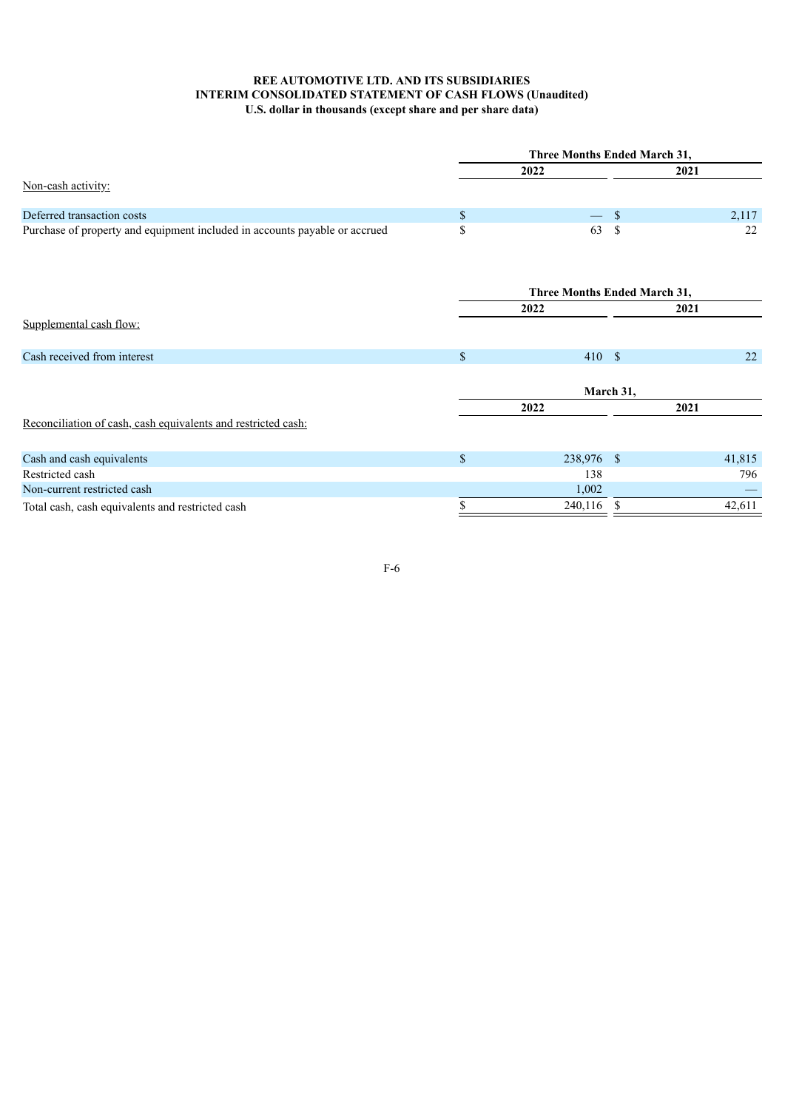# **REE AUTOMOTIVE LTD. AND ITS SUBSIDIARIES INTERIM CONSOLIDATED STATEMENT OF CASH FLOWS (Unaudited) U.S. dollar in thousands (except share and per share data)**

<span id="page-6-0"></span>

|                                                                            | Three Months Ended March 31, |                              |              |           |        |  |  |
|----------------------------------------------------------------------------|------------------------------|------------------------------|--------------|-----------|--------|--|--|
|                                                                            |                              | 2022                         | 2021         |           |        |  |  |
| Non-cash activity:                                                         |                              |                              |              |           |        |  |  |
| Deferred transaction costs                                                 | \$                           |                              | $\mathbb{S}$ |           | 2,117  |  |  |
| Purchase of property and equipment included in accounts payable or accrued | \$                           | 63                           | $\mathbf S$  |           | 22     |  |  |
|                                                                            |                              | Three Months Ended March 31, |              |           |        |  |  |
|                                                                            |                              | 2022                         |              | 2021      |        |  |  |
| Supplemental cash flow:                                                    |                              |                              |              |           |        |  |  |
| Cash received from interest                                                | $\$$                         | 410S                         |              |           | 22     |  |  |
|                                                                            |                              |                              |              | March 31, |        |  |  |
|                                                                            |                              | 2022                         |              | 2021      |        |  |  |
| Reconciliation of cash, cash equivalents and restricted cash:              |                              |                              |              |           |        |  |  |
| Cash and cash equivalents                                                  | \$                           | 238,976 \$                   |              |           | 41,815 |  |  |
| Restricted cash                                                            |                              | 138                          |              |           | 796    |  |  |
| Non-current restricted cash                                                |                              | 1,002                        |              |           |        |  |  |
| Total cash, cash equivalents and restricted cash                           | \$                           | 240,116                      | S            |           | 42,611 |  |  |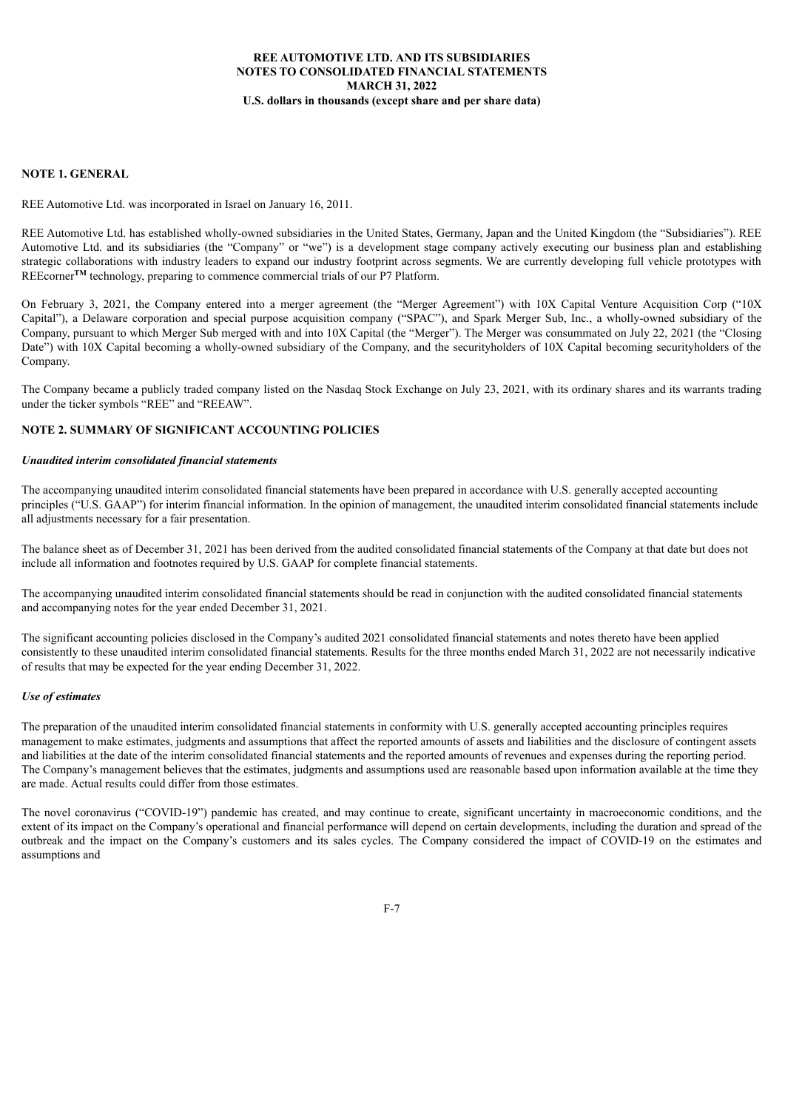### **NOTE 1. GENERAL**

REE Automotive Ltd. was incorporated in Israel on January 16, 2011.

REE Automotive Ltd. has established wholly-owned subsidiaries in the United States, Germany, Japan and the United Kingdom (the "Subsidiaries"). REE Automotive Ltd. and its subsidiaries (the "Company" or "we") is a development stage company actively executing our business plan and establishing strategic collaborations with industry leaders to expand our industry footprint across segments. We are currently developing full vehicle prototypes with REEcorner<sup>TM</sup> technology, preparing to commence commercial trials of our P7 Platform.

On February 3, 2021, the Company entered into a merger agreement (the "Merger Agreement") with 10X Capital Venture Acquisition Corp ("10X Capital"), a Delaware corporation and special purpose acquisition company ("SPAC"), and Spark Merger Sub, Inc., a wholly-owned subsidiary of the Company, pursuant to which Merger Sub merged with and into 10X Capital (the "Merger"). The Merger was consummated on July 22, 2021 (the "Closing Date") with 10X Capital becoming a wholly-owned subsidiary of the Company, and the securityholders of 10X Capital becoming securityholders of the Company.

The Company became a publicly traded company listed on the Nasdaq Stock Exchange on July 23, 2021, with its ordinary shares and its warrants trading under the ticker symbols "REE" and "REEAW".

### **NOTE 2. SUMMARY OF SIGNIFICANT ACCOUNTING POLICIES**

### *Unaudited interim consolidated financial statements*

The accompanying unaudited interim consolidated financial statements have been prepared in accordance with U.S. generally accepted accounting principles ("U.S. GAAP") for interim financial information. In the opinion of management, the unaudited interim consolidated financial statements include all adjustments necessary for a fair presentation.

The balance sheet as of December 31, 2021 has been derived from the audited consolidated financial statements of the Company at that date but does not include all information and footnotes required by U.S. GAAP for complete financial statements.

The accompanying unaudited interim consolidated financial statements should be read in conjunction with the audited consolidated financial statements and accompanying notes for the year ended December 31, 2021.

The significant accounting policies disclosed in the Company's audited 2021 consolidated financial statements and notes thereto have been applied consistently to these unaudited interim consolidated financial statements. Results for the three months ended March 31, 2022 are not necessarily indicative of results that may be expected for the year ending December 31, 2022.

#### *Use of estimates*

The preparation of the unaudited interim consolidated financial statements in conformity with U.S. generally accepted accounting principles requires management to make estimates, judgments and assumptions that affect the reported amounts of assets and liabilities and the disclosure of contingent assets and liabilities at the date of the interim consolidated financial statements and the reported amounts of revenues and expenses during the reporting period. The Company's management believes that the estimates, judgments and assumptions used are reasonable based upon information available at the time they are made. Actual results could differ from those estimates.

The novel coronavirus ("COVID-19") pandemic has created, and may continue to create, significant uncertainty in macroeconomic conditions, and the extent of its impact on the Company's operational and financial performance will depend on certain developments, including the duration and spread of the outbreak and the impact on the Company's customers and its sales cycles. The Company considered the impact of COVID-19 on the estimates and assumptions and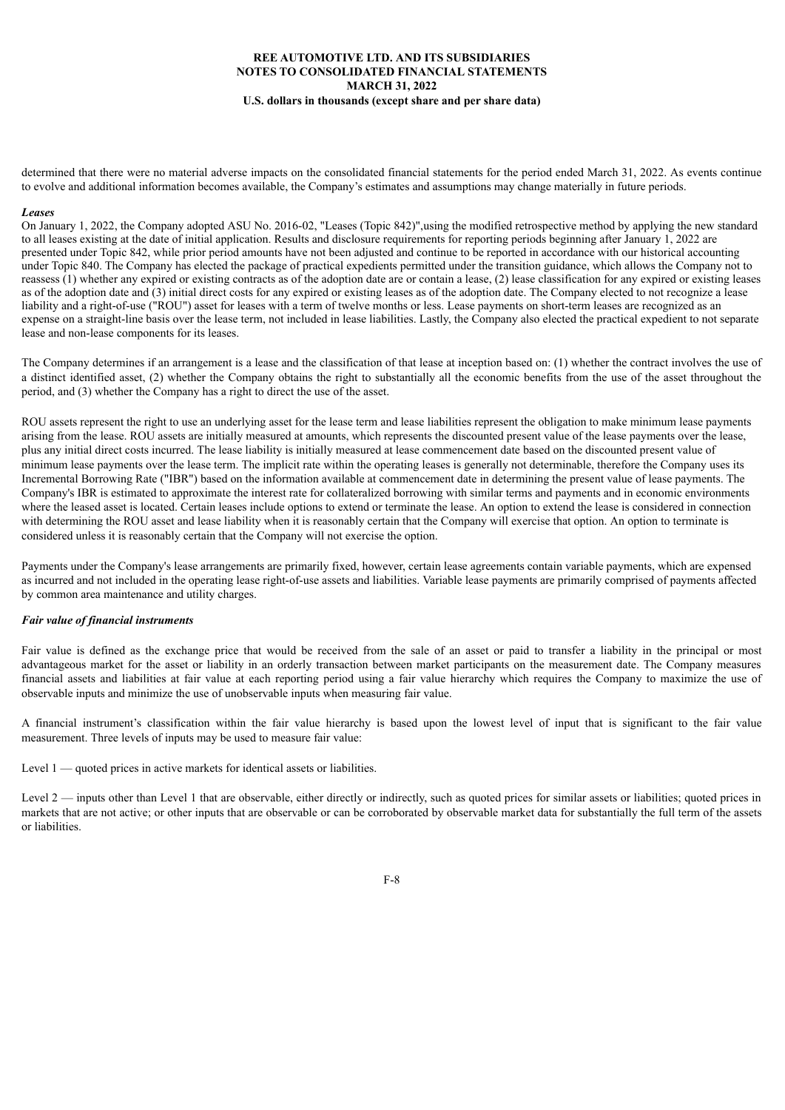determined that there were no material adverse impacts on the consolidated financial statements for the period ended March 31, 2022. As events continue to evolve and additional information becomes available, the Company's estimates and assumptions may change materially in future periods.

#### *Leases*

On January 1, 2022, the Company adopted ASU No. 2016-02, "Leases (Topic 842)",using the modified retrospective method by applying the new standard to all leases existing at the date of initial application. Results and disclosure requirements for reporting periods beginning after January 1, 2022 are presented under Topic 842, while prior period amounts have not been adjusted and continue to be reported in accordance with our historical accounting under Topic 840. The Company has elected the package of practical expedients permitted under the transition guidance, which allows the Company not to reassess (1) whether any expired or existing contracts as of the adoption date are or contain a lease, (2) lease classification for any expired or existing leases as of the adoption date and (3) initial direct costs for any expired or existing leases as of the adoption date. The Company elected to not recognize a lease liability and a right-of-use ("ROU") asset for leases with a term of twelve months or less. Lease payments on short-term leases are recognized as an expense on a straight-line basis over the lease term, not included in lease liabilities. Lastly, the Company also elected the practical expedient to not separate lease and non-lease components for its leases.

The Company determines if an arrangement is a lease and the classification of that lease at inception based on: (1) whether the contract involves the use of a distinct identified asset, (2) whether the Company obtains the right to substantially all the economic benefits from the use of the asset throughout the period, and (3) whether the Company has a right to direct the use of the asset.

ROU assets represent the right to use an underlying asset for the lease term and lease liabilities represent the obligation to make minimum lease payments arising from the lease. ROU assets are initially measured at amounts, which represents the discounted present value of the lease payments over the lease, plus any initial direct costs incurred. The lease liability is initially measured at lease commencement date based on the discounted present value of minimum lease payments over the lease term. The implicit rate within the operating leases is generally not determinable, therefore the Company uses its Incremental Borrowing Rate ("IBR") based on the information available at commencement date in determining the present value of lease payments. The Company's IBR is estimated to approximate the interest rate for collateralized borrowing with similar terms and payments and in economic environments where the leased asset is located. Certain leases include options to extend or terminate the lease. An option to extend the lease is considered in connection with determining the ROU asset and lease liability when it is reasonably certain that the Company will exercise that option. An option to terminate is considered unless it is reasonably certain that the Company will not exercise the option.

Payments under the Company's lease arrangements are primarily fixed, however, certain lease agreements contain variable payments, which are expensed as incurred and not included in the operating lease right-of-use assets and liabilities. Variable lease payments are primarily comprised of payments affected by common area maintenance and utility charges.

#### *Fair value of financial instruments*

Fair value is defined as the exchange price that would be received from the sale of an asset or paid to transfer a liability in the principal or most advantageous market for the asset or liability in an orderly transaction between market participants on the measurement date. The Company measures financial assets and liabilities at fair value at each reporting period using a fair value hierarchy which requires the Company to maximize the use of observable inputs and minimize the use of unobservable inputs when measuring fair value.

A financial instrument's classification within the fair value hierarchy is based upon the lowest level of input that is significant to the fair value measurement. Three levels of inputs may be used to measure fair value:

Level 1 — quoted prices in active markets for identical assets or liabilities.

Level 2 — inputs other than Level 1 that are observable, either directly or indirectly, such as quoted prices for similar assets or liabilities; quoted prices in markets that are not active; or other inputs that are observable or can be corroborated by observable market data for substantially the full term of the assets or liabilities.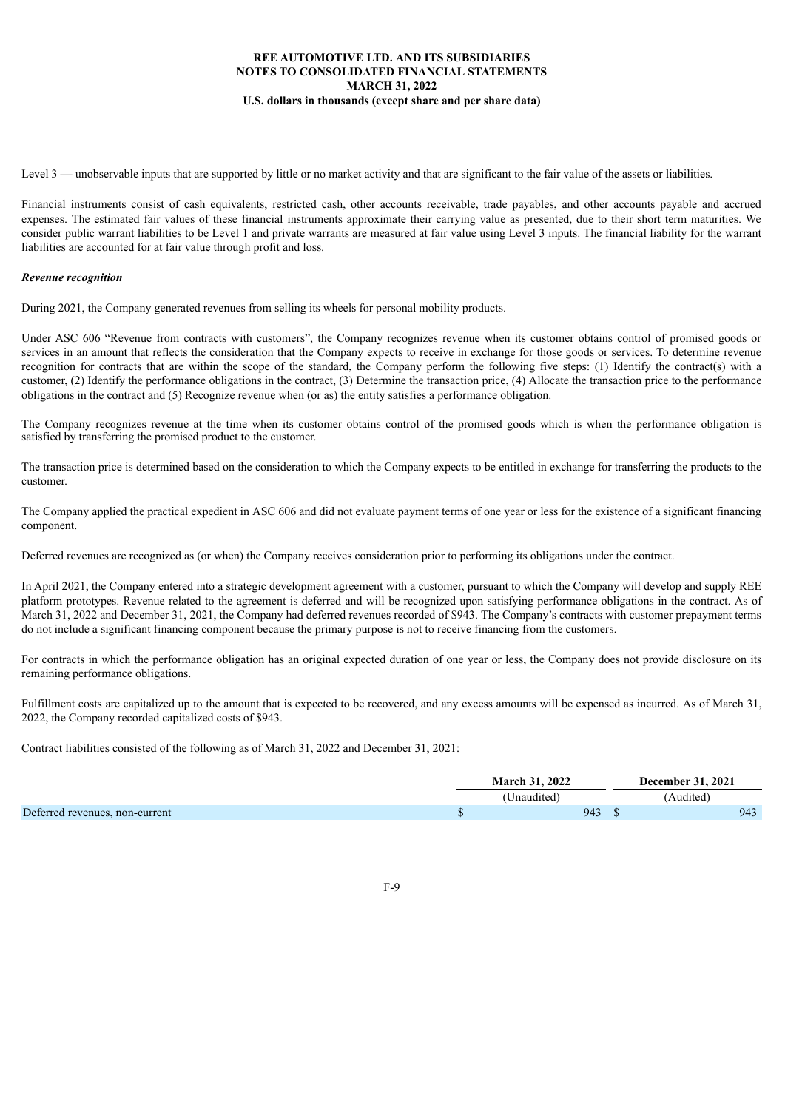Level 3 — unobservable inputs that are supported by little or no market activity and that are significant to the fair value of the assets or liabilities.

Financial instruments consist of cash equivalents, restricted cash, other accounts receivable, trade payables, and other accounts payable and accrued expenses. The estimated fair values of these financial instruments approximate their carrying value as presented, due to their short term maturities. We consider public warrant liabilities to be Level 1 and private warrants are measured at fair value using Level 3 inputs. The financial liability for the warrant liabilities are accounted for at fair value through profit and loss.

### *Revenue recognition*

During 2021, the Company generated revenues from selling its wheels for personal mobility products.

Under ASC 606 "Revenue from contracts with customers", the Company recognizes revenue when its customer obtains control of promised goods or services in an amount that reflects the consideration that the Company expects to receive in exchange for those goods or services. To determine revenue recognition for contracts that are within the scope of the standard, the Company perform the following five steps: (1) Identify the contract(s) with a customer, (2) Identify the performance obligations in the contract, (3) Determine the transaction price, (4) Allocate the transaction price to the performance obligations in the contract and (5) Recognize revenue when (or as) the entity satisfies a performance obligation.

The Company recognizes revenue at the time when its customer obtains control of the promised goods which is when the performance obligation is satisfied by transferring the promised product to the customer.

The transaction price is determined based on the consideration to which the Company expects to be entitled in exchange for transferring the products to the customer.

The Company applied the practical expedient in ASC 606 and did not evaluate payment terms of one year or less for the existence of a significant financing component.

Deferred revenues are recognized as (or when) the Company receives consideration prior to performing its obligations under the contract.

In April 2021, the Company entered into a strategic development agreement with a customer, pursuant to which the Company will develop and supply REE platform prototypes. Revenue related to the agreement is deferred and will be recognized upon satisfying performance obligations in the contract. As of March 31, 2022 and December 31, 2021, the Company had deferred revenues recorded of \$943. The Company's contracts with customer prepayment terms do not include a significant financing component because the primary purpose is not to receive financing from the customers.

For contracts in which the performance obligation has an original expected duration of one year or less, the Company does not provide disclosure on its remaining performance obligations.

Fulfillment costs are capitalized up to the amount that is expected to be recovered, and any excess amounts will be expensed as incurred. As of March 31, 2022, the Company recorded capitalized costs of \$943.

Contract liabilities consisted of the following as of March 31, 2022 and December 31, 2021:

|                                | <b>March 31, 2022</b> | <b>December 31, 2021</b> |
|--------------------------------|-----------------------|--------------------------|
|                                | (Unaudited)           | (Audited)                |
| Deferred revenues, non-current | 943                   | 943                      |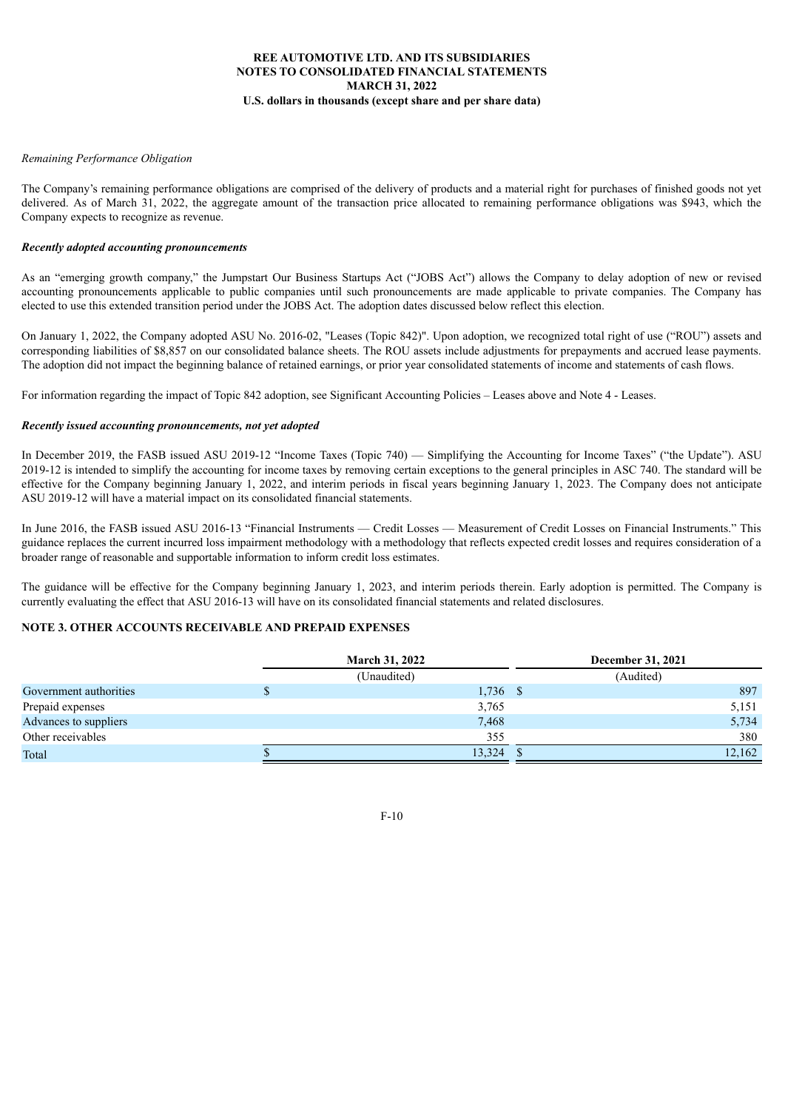### *Remaining Performance Obligation*

The Company's remaining performance obligations are comprised of the delivery of products and a material right for purchases of finished goods not yet delivered. As of March 31, 2022, the aggregate amount of the transaction price allocated to remaining performance obligations was \$943, which the Company expects to recognize as revenue.

### *Recently adopted accounting pronouncements*

As an "emerging growth company," the Jumpstart Our Business Startups Act ("JOBS Act") allows the Company to delay adoption of new or revised accounting pronouncements applicable to public companies until such pronouncements are made applicable to private companies. The Company has elected to use this extended transition period under the JOBS Act. The adoption dates discussed below reflect this election.

On January 1, 2022, the Company adopted ASU No. 2016-02, "Leases (Topic 842)". Upon adoption, we recognized total right of use ("ROU") assets and corresponding liabilities of \$8,857 on our consolidated balance sheets. The ROU assets include adjustments for prepayments and accrued lease payments. The adoption did not impact the beginning balance of retained earnings, or prior year consolidated statements of income and statements of cash flows.

For information regarding the impact of Topic 842 adoption, see Significant Accounting Policies – Leases above and Note 4 - Leases.

### *Recently issued accounting pronouncements, not yet adopted*

In December 2019, the FASB issued ASU 2019-12 "Income Taxes (Topic 740) — Simplifying the Accounting for Income Taxes" ("the Update"). ASU 2019-12 is intended to simplify the accounting for income taxes by removing certain exceptions to the general principles in ASC 740. The standard will be effective for the Company beginning January 1, 2022, and interim periods in fiscal years beginning January 1, 2023. The Company does not anticipate ASU 2019-12 will have a material impact on its consolidated financial statements.

In June 2016, the FASB issued ASU 2016-13 "Financial Instruments — Credit Losses — Measurement of Credit Losses on Financial Instruments." This guidance replaces the current incurred loss impairment methodology with a methodology that reflects expected credit losses and requires consideration of a broader range of reasonable and supportable information to inform credit loss estimates.

The guidance will be effective for the Company beginning January 1, 2023, and interim periods therein. Early adoption is permitted. The Company is currently evaluating the effect that ASU 2016-13 will have on its consolidated financial statements and related disclosures.

# **NOTE 3. OTHER ACCOUNTS RECEIVABLE AND PREPAID EXPENSES**

|                        | <b>March 31, 2022</b> | <b>December 31, 2021</b> |
|------------------------|-----------------------|--------------------------|
|                        | (Unaudited)           | (Audited)                |
| Government authorities | $1,736$ \$            | 897                      |
| Prepaid expenses       | 3,765                 | 5,151                    |
| Advances to suppliers  | 7,468                 | 5,734                    |
| Other receivables      | 355                   | 380                      |
| Total                  | 13,324                | 12,162                   |

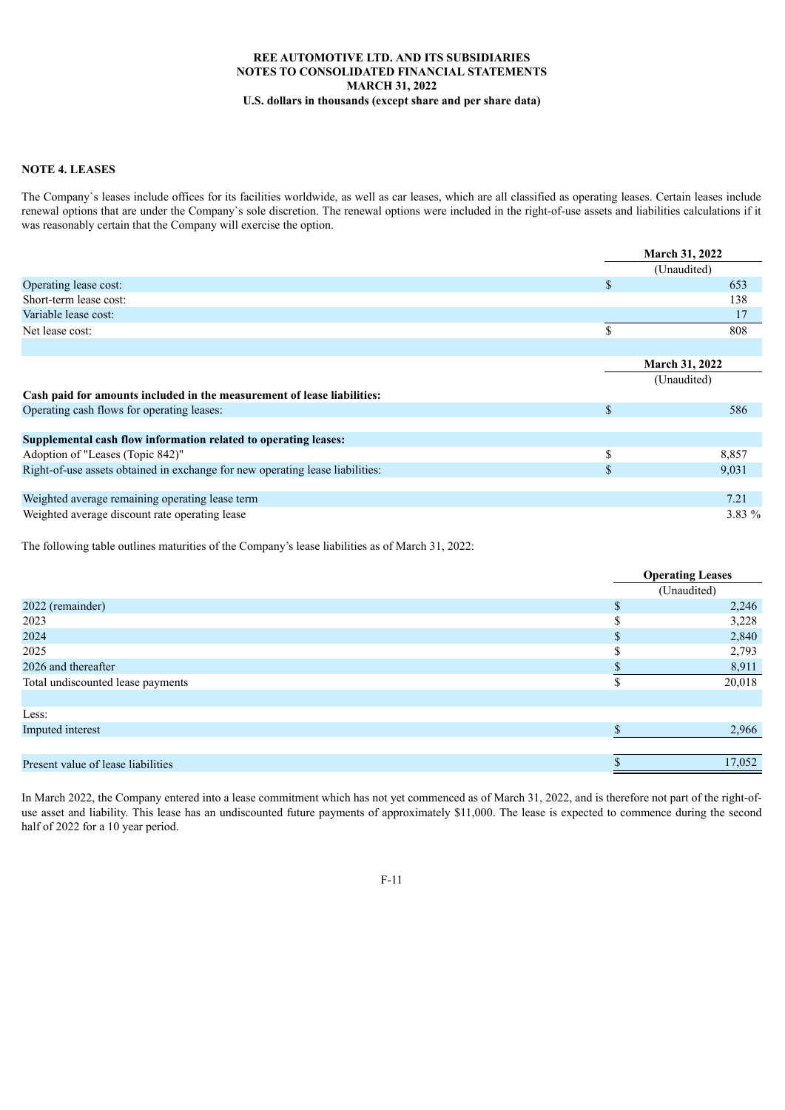## **NOTE 4. LEASES**

The Company`s leases include offices for its facilities worldwide, as well as car leases, which are all classified as operating leases. Certain leases include renewal options that are under the Company`s sole discretion. The renewal options were included in the right-of-use assets and liabilities calculations if it was reasonably certain that the Company will exercise the option.

|                                                                               | <b>March 31, 2022</b> |  |
|-------------------------------------------------------------------------------|-----------------------|--|
|                                                                               | (Unaudited)           |  |
| Operating lease cost:                                                         | \$<br>653             |  |
| Short-term lease cost:                                                        | 138                   |  |
| Variable lease cost:                                                          | 17                    |  |
| Net lease cost:                                                               | \$<br>808             |  |
|                                                                               |                       |  |
|                                                                               | <b>March 31, 2022</b> |  |
|                                                                               | (Unaudited)           |  |
| Cash paid for amounts included in the measurement of lease liabilities:       |                       |  |
| Operating cash flows for operating leases:                                    | \$<br>586             |  |
|                                                                               |                       |  |
| Supplemental cash flow information related to operating leases:               |                       |  |
| Adoption of "Leases (Topic 842)"                                              | \$<br>8,857           |  |
| Right-of-use assets obtained in exchange for new operating lease liabilities: | \$<br>9,031           |  |
|                                                                               |                       |  |
| Weighted average remaining operating lease term                               | 7.21                  |  |
| Weighted average discount rate operating lease                                | 3.83 %                |  |

The following table outlines maturities of the Company's lease liabilities as of March 31, 2022:

|                                    | <b>Operating Leases</b> |  |
|------------------------------------|-------------------------|--|
|                                    | (Unaudited)             |  |
| 2022 (remainder)                   | \$<br>2,246             |  |
| 2023                               | 3,228                   |  |
| 2024                               | 2,840                   |  |
| 2025                               | 2,793                   |  |
| 2026 and thereafter                | 8,911                   |  |
| Total undiscounted lease payments  | 20,018                  |  |
|                                    |                         |  |
| Less:                              |                         |  |
| Imputed interest                   | 2,966                   |  |
|                                    |                         |  |
| Present value of lease liabilities | 17,052                  |  |
|                                    |                         |  |

In March 2022, the Company entered into a lease commitment which has not yet commenced as of March 31, 2022, and is therefore not part of the right-ofuse asset and liability. This lease has an undiscounted future payments of approximately \$11,000. The lease is expected to commence during the second half of 2022 for a 10 year period.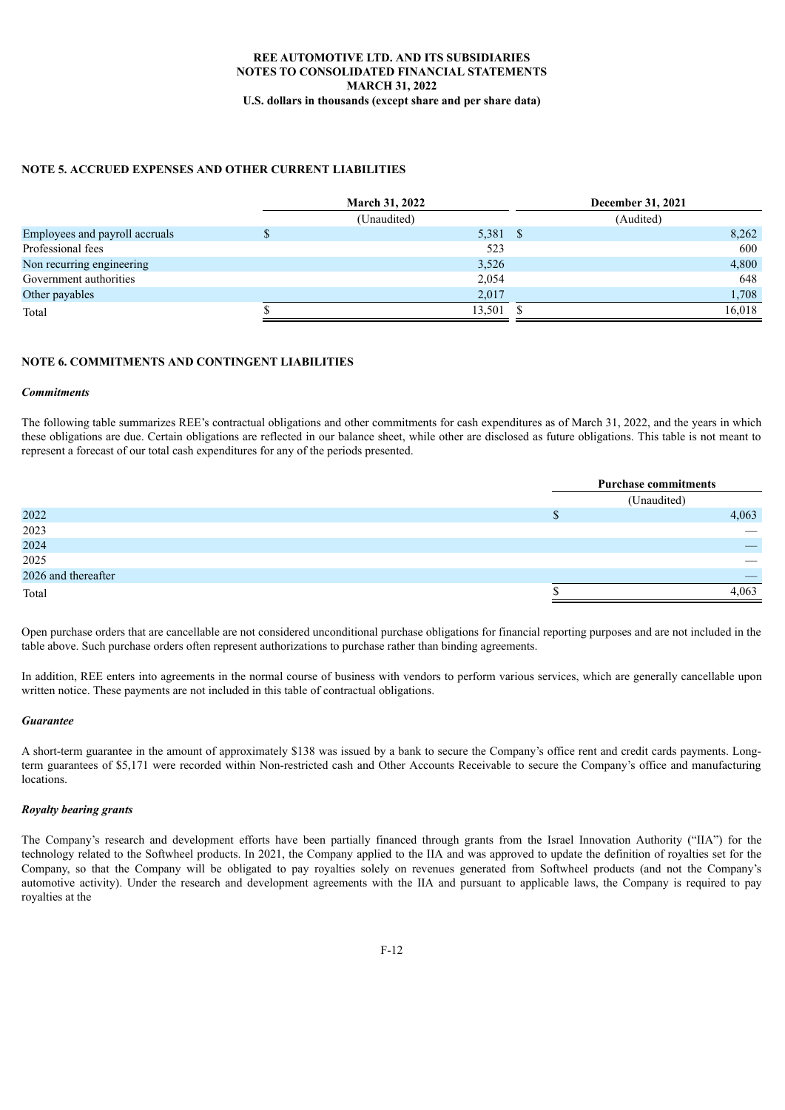## **NOTE 5. ACCRUED EXPENSES AND OTHER CURRENT LIABILITIES**

|                                | <b>March 31, 2022</b> | December 31, 2021 |
|--------------------------------|-----------------------|-------------------|
|                                | (Unaudited)           | (Audited)         |
| Employees and payroll accruals | 5,381 \$              | 8,262             |
| Professional fees              | 523                   | 600               |
| Non recurring engineering      | 3,526                 | 4,800             |
| Government authorities         | 2,054                 | 648               |
| Other payables                 | 2,017                 | 1,708             |
| Total                          | 13,501                | 16,018            |

### **NOTE 6. COMMITMENTS AND CONTINGENT LIABILITIES**

### *Commitments*

The following table summarizes REE's contractual obligations and other commitments for cash expenditures as of March 31, 2022, and the years in which these obligations are due. Certain obligations are reflected in our balance sheet, while other are disclosed as future obligations. This table is not meant to represent a forecast of our total cash expenditures for any of the periods presented.

|                     | <b>Purchase commitments</b> |
|---------------------|-----------------------------|
|                     | (Unaudited)                 |
| 2022                | 4,063                       |
| 2023                |                             |
| 2024                |                             |
| 2025                |                             |
| 2026 and thereafter |                             |
| Total               | 4,063                       |

Open purchase orders that are cancellable are not considered unconditional purchase obligations for financial reporting purposes and are not included in the table above. Such purchase orders often represent authorizations to purchase rather than binding agreements.

In addition, REE enters into agreements in the normal course of business with vendors to perform various services, which are generally cancellable upon written notice. These payments are not included in this table of contractual obligations.

#### *Guarantee*

A short-term guarantee in the amount of approximately \$138 was issued by a bank to secure the Company's office rent and credit cards payments. Longterm guarantees of \$5,171 were recorded within Non-restricted cash and Other Accounts Receivable to secure the Company's office and manufacturing locations.

#### *Royalty bearing grants*

The Company's research and development efforts have been partially financed through grants from the Israel Innovation Authority ("IIA") for the technology related to the Softwheel products. In 2021, the Company applied to the IIA and was approved to update the definition of royalties set for the Company, so that the Company will be obligated to pay royalties solely on revenues generated from Softwheel products (and not the Company's automotive activity). Under the research and development agreements with the IIA and pursuant to applicable laws, the Company is required to pay royalties at the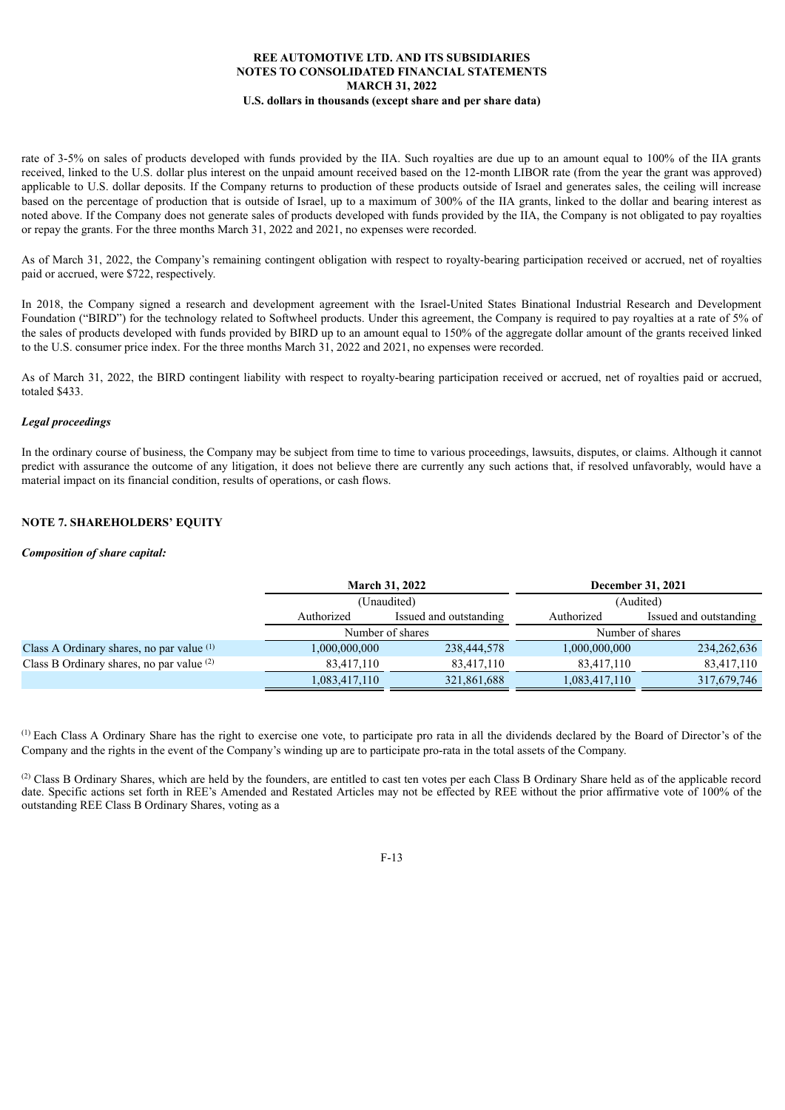rate of 3-5% on sales of products developed with funds provided by the IIA. Such royalties are due up to an amount equal to 100% of the IIA grants received, linked to the U.S. dollar plus interest on the unpaid amount received based on the 12-month LIBOR rate (from the year the grant was approved) applicable to U.S. dollar deposits. If the Company returns to production of these products outside of Israel and generates sales, the ceiling will increase based on the percentage of production that is outside of Israel, up to a maximum of 300% of the IIA grants, linked to the dollar and bearing interest as noted above. If the Company does not generate sales of products developed with funds provided by the IIA, the Company is not obligated to pay royalties or repay the grants. For the three months March 31, 2022 and 2021, no expenses were recorded.

As of March 31, 2022, the Company's remaining contingent obligation with respect to royalty-bearing participation received or accrued, net of royalties paid or accrued, were \$722, respectively.

In 2018, the Company signed a research and development agreement with the Israel-United States Binational Industrial Research and Development Foundation ("BIRD") for the technology related to Softwheel products. Under this agreement, the Company is required to pay royalties at a rate of 5% of the sales of products developed with funds provided by BIRD up to an amount equal to 150% of the aggregate dollar amount of the grants received linked to the U.S. consumer price index. For the three months March 31, 2022 and 2021, no expenses were recorded.

As of March 31, 2022, the BIRD contingent liability with respect to royalty-bearing participation received or accrued, net of royalties paid or accrued, totaled \$433.

### *Legal proceedings*

In the ordinary course of business, the Company may be subject from time to time to various proceedings, lawsuits, disputes, or claims. Although it cannot predict with assurance the outcome of any litigation, it does not believe there are currently any such actions that, if resolved unfavorably, would have a material impact on its financial condition, results of operations, or cash flows.

## **NOTE 7. SHAREHOLDERS' EQUITY**

#### *Composition of share capital:*

|                                             |                                      | <b>March 31, 2022</b> | December 31, 2021 |                        |  |  |
|---------------------------------------------|--------------------------------------|-----------------------|-------------------|------------------------|--|--|
|                                             |                                      | (Unaudited)           |                   | (Audited)              |  |  |
|                                             | Authorized<br>Issued and outstanding |                       | Authorized        | Issued and outstanding |  |  |
|                                             | Number of shares                     |                       |                   | Number of shares       |  |  |
| Class A Ordinary shares, no par value $(1)$ | 000,000,000,1                        | 238,444,578           | 1,000,000,000     | 234, 262, 636          |  |  |
| Class B Ordinary shares, no par value (2)   | 83,417,110                           | 83,417,110            | 83,417,110        | 83,417,110             |  |  |
|                                             | 1,083,417,110                        | 321,861,688           | 1,083,417,110     | 317,679,746            |  |  |

 $<sup>(1)</sup>$  Each Class A Ordinary Share has the right to exercise one vote, to participate pro rata in all the dividends declared by the Board of Director's of the</sup> Company and the rights in the event of the Company's winding up are to participate pro-rata in the total assets of the Company.

 $^{(2)}$  Class B Ordinary Shares, which are held by the founders, are entitled to cast ten votes per each Class B Ordinary Share held as of the applicable record date. Specific actions set forth in REE's Amended and Restated Articles may not be effected by REE without the prior affirmative vote of 100% of the outstanding REE Class B Ordinary Shares, voting as a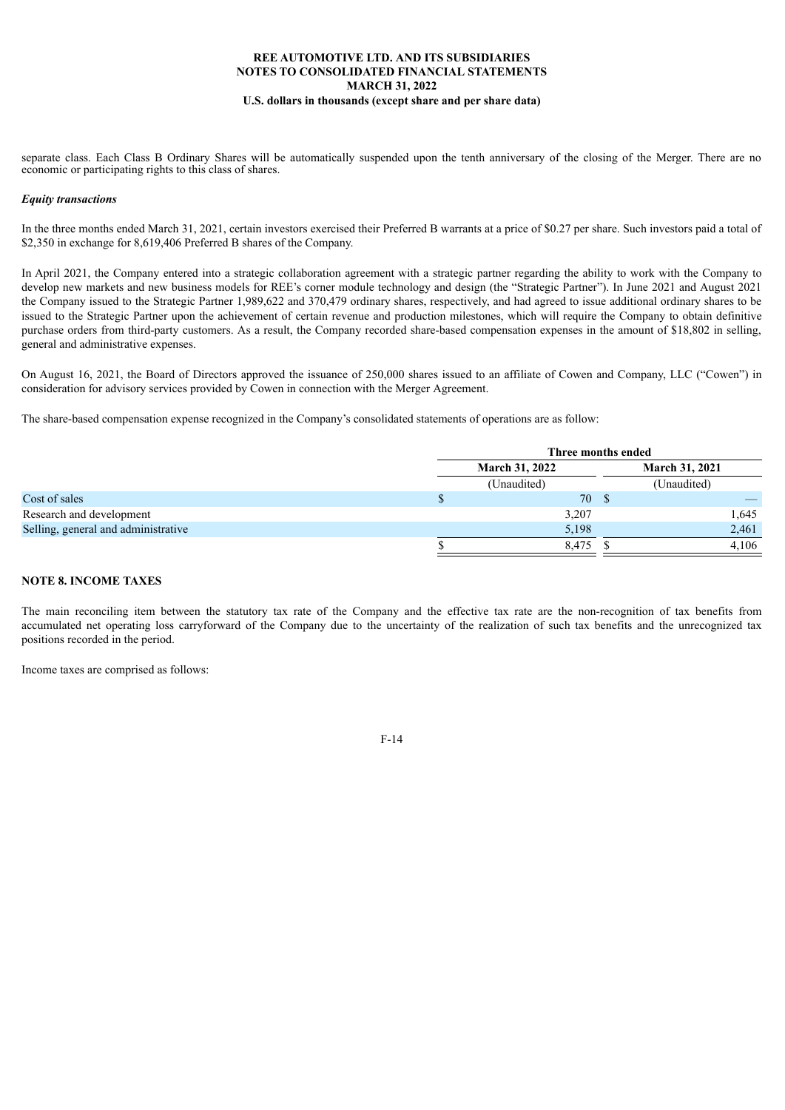separate class. Each Class B Ordinary Shares will be automatically suspended upon the tenth anniversary of the closing of the Merger. There are no economic or participating rights to this class of shares.

### *Equity transactions*

In the three months ended March 31, 2021, certain investors exercised their Preferred B warrants at a price of \$0.27 per share. Such investors paid a total of \$2,350 in exchange for 8,619,406 Preferred B shares of the Company.

In April 2021, the Company entered into a strategic collaboration agreement with a strategic partner regarding the ability to work with the Company to develop new markets and new business models for REE's corner module technology and design (the "Strategic Partner"). In June 2021 and August 2021 the Company issued to the Strategic Partner 1,989,622 and 370,479 ordinary shares, respectively, and had agreed to issue additional ordinary shares to be issued to the Strategic Partner upon the achievement of certain revenue and production milestones, which will require the Company to obtain definitive purchase orders from third-party customers. As a result, the Company recorded share-based compensation expenses in the amount of \$18,802 in selling, general and administrative expenses.

On August 16, 2021, the Board of Directors approved the issuance of 250,000 shares issued to an affiliate of Cowen and Company, LLC ("Cowen") in consideration for advisory services provided by Cowen in connection with the Merger Agreement.

The share-based compensation expense recognized in the Company's consolidated statements of operations are as follow:

|                                     |                       | Three months ended |                       |             |       |
|-------------------------------------|-----------------------|--------------------|-----------------------|-------------|-------|
|                                     | <b>March 31, 2022</b> |                    | <b>March 31, 2021</b> |             |       |
|                                     |                       | (Unaudited)        |                       | (Unaudited) |       |
| Cost of sales                       |                       | 70 \$              |                       |             |       |
| Research and development            |                       | 3,207              |                       |             | 1,645 |
| Selling, general and administrative |                       | 5,198              |                       |             | 2,461 |
|                                     |                       | 8,475              |                       |             | 4,106 |

### **NOTE 8. INCOME TAXES**

The main reconciling item between the statutory tax rate of the Company and the effective tax rate are the non-recognition of tax benefits from accumulated net operating loss carryforward of the Company due to the uncertainty of the realization of such tax benefits and the unrecognized tax positions recorded in the period.

Income taxes are comprised as follows: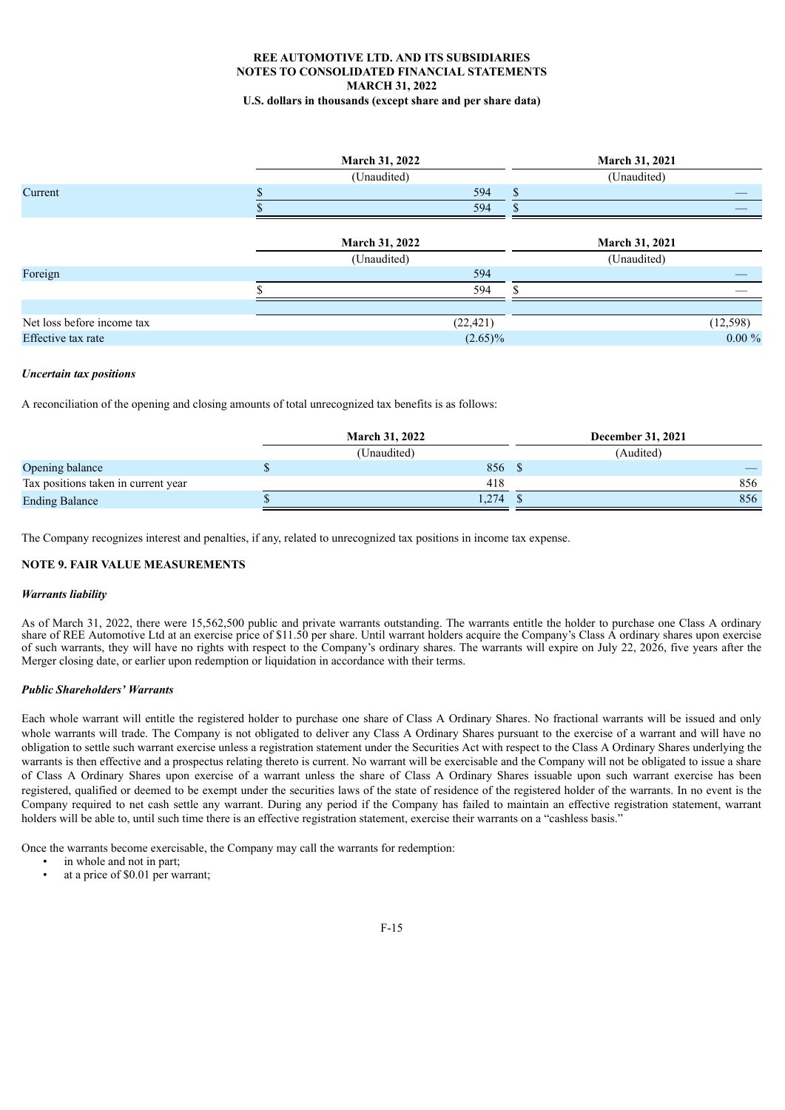# **REE AUTOMOTIVE LTD. AND ITS SUBSIDIARIES NOTES TO CONSOLIDATED FINANCIAL STATEMENTS MARCH 31, 2022**

**U.S. dollars in thousands (except share and per share data)**

|                            | <b>March 31, 2022</b> | March 31, 2021        |
|----------------------------|-----------------------|-----------------------|
|                            | (Unaudited)           | (Unaudited)           |
| Current                    | 594                   | $\mathbf{s}$          |
|                            | 594                   |                       |
|                            | <b>March 31, 2022</b> | <b>March 31, 2021</b> |
|                            | (Unaudited)           | (Unaudited)           |
| Foreign                    | 594                   |                       |
|                            | 594                   |                       |
|                            |                       |                       |
| Net loss before income tax | (22, 421)             | (12, 598)             |
| Effective tax rate         | $(2.65)\%$            | $0.00 \%$             |

#### *Uncertain tax positions*

A reconciliation of the opening and closing amounts of total unrecognized tax benefits is as follows:

|                                     | <b>March 31, 2022</b> |             | December 31, 2021 |
|-------------------------------------|-----------------------|-------------|-------------------|
|                                     |                       | (Unaudited) | (Audited)         |
| Opening balance                     |                       | 856         |                   |
| Tax positions taken in current year |                       | 418         | 856               |
| <b>Ending Balance</b>               |                       | 1,274       | 856               |

The Company recognizes interest and penalties, if any, related to unrecognized tax positions in income tax expense.

#### **NOTE 9. FAIR VALUE MEASUREMENTS**

#### *Warrants liability*

As of March 31, 2022, there were 15,562,500 public and private warrants outstanding. The warrants entitle the holder to purchase one Class A ordinary share of REE Automotive Ltd at an exercise price of \$11.50 per share. Until warrant holders acquire the Company's Class A ordinary shares upon exercise of such warrants, they will have no rights with respect to the Company's ordinary shares. The warrants will expire on July 22, 2026, five years after the Merger closing date, or earlier upon redemption or liquidation in accordance with their terms.

#### *Public Shareholders' Warrants*

Each whole warrant will entitle the registered holder to purchase one share of Class A Ordinary Shares. No fractional warrants will be issued and only whole warrants will trade. The Company is not obligated to deliver any Class A Ordinary Shares pursuant to the exercise of a warrant and will have no obligation to settle such warrant exercise unless a registration statement under the Securities Act with respect to the Class A Ordinary Shares underlying the warrants is then effective and a prospectus relating thereto is current. No warrant will be exercisable and the Company will not be obligated to issue a share of Class A Ordinary Shares upon exercise of a warrant unless the share of Class A Ordinary Shares issuable upon such warrant exercise has been registered, qualified or deemed to be exempt under the securities laws of the state of residence of the registered holder of the warrants. In no event is the Company required to net cash settle any warrant. During any period if the Company has failed to maintain an effective registration statement, warrant holders will be able to, until such time there is an effective registration statement, exercise their warrants on a "cashless basis."

Once the warrants become exercisable, the Company may call the warrants for redemption:

- in whole and not in part;<br>•  $\frac{1}{2}$  at a price of \$0.01 per way
- at a price of \$0.01 per warrant;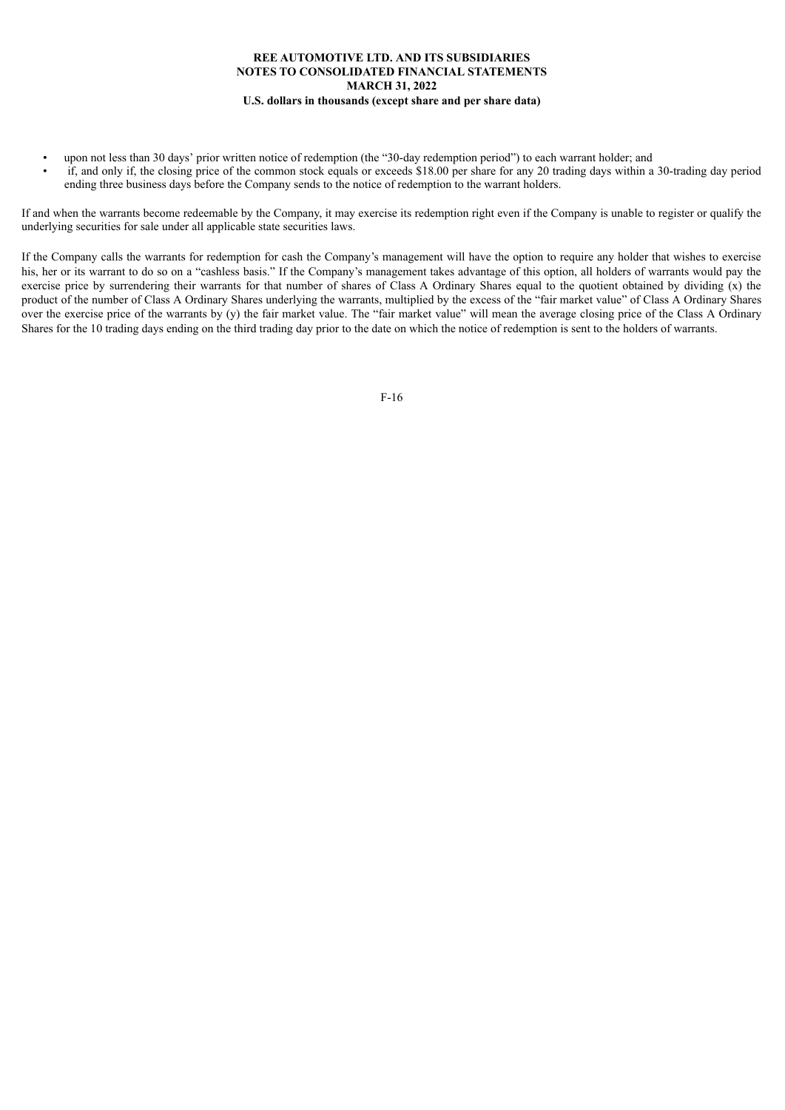- upon not less than 30 days' prior written notice of redemption (the "30-day redemption period") to each warrant holder; and
- if, and only if, the closing price of the common stock equals or exceeds \$18.00 per share for any 20 trading days within a 30-trading day period ending three business days before the Company sends to the notice of redemption to the warrant holders.

If and when the warrants become redeemable by the Company, it may exercise its redemption right even if the Company is unable to register or qualify the underlying securities for sale under all applicable state securities laws.

If the Company calls the warrants for redemption for cash the Company's management will have the option to require any holder that wishes to exercise his, her or its warrant to do so on a "cashless basis." If the Company's management takes advantage of this option, all holders of warrants would pay the exercise price by surrendering their warrants for that number of shares of Class A Ordinary Shares equal to the quotient obtained by dividing  $(x)$  the product of the number of Class A Ordinary Shares underlying the warrants, multiplied by the excess of the "fair market value" of Class A Ordinary Shares over the exercise price of the warrants by (y) the fair market value. The "fair market value" will mean the average closing price of the Class A Ordinary Shares for the 10 trading days ending on the third trading day prior to the date on which the notice of redemption is sent to the holders of warrants.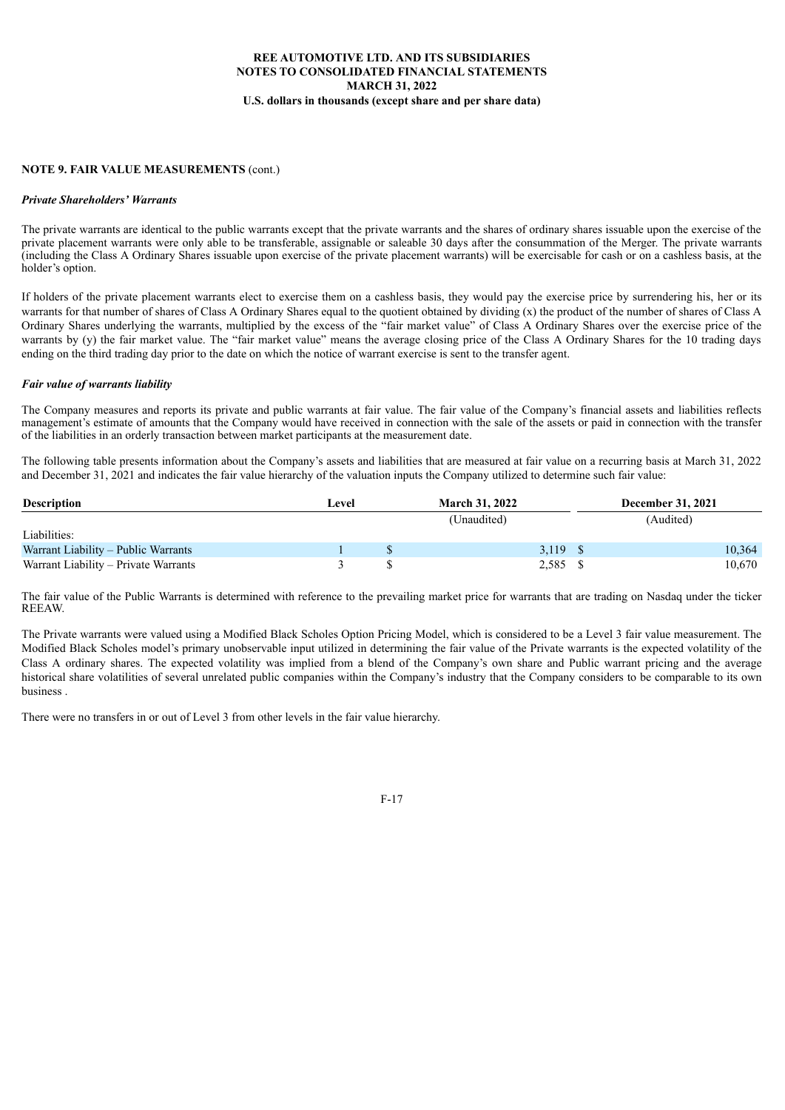### **NOTE 9. FAIR VALUE MEASUREMENTS** (cont.)

#### *Private Shareholders' Warrants*

The private warrants are identical to the public warrants except that the private warrants and the shares of ordinary shares issuable upon the exercise of the private placement warrants were only able to be transferable, assignable or saleable 30 days after the consummation of the Merger. The private warrants (including the Class A Ordinary Shares issuable upon exercise of the private placement warrants) will be exercisable for cash or on a cashless basis, at the holder's option.

If holders of the private placement warrants elect to exercise them on a cashless basis, they would pay the exercise price by surrendering his, her or its warrants for that number of shares of Class A Ordinary Shares equal to the quotient obtained by dividing (x) the product of the number of shares of Class A Ordinary Shares underlying the warrants, multiplied by the excess of the "fair market value" of Class A Ordinary Shares over the exercise price of the warrants by (y) the fair market value. The "fair market value" means the average closing price of the Class A Ordinary Shares for the 10 trading days ending on the third trading day prior to the date on which the notice of warrant exercise is sent to the transfer agent.

#### *Fair value of warrants liability*

The Company measures and reports its private and public warrants at fair value. The fair value of the Company's financial assets and liabilities reflects management's estimate of amounts that the Company would have received in connection with the sale of the assets or paid in connection with the transfer of the liabilities in an orderly transaction between market participants at the measurement date.

The following table presents information about the Company's assets and liabilities that are measured at fair value on a recurring basis at March 31, 2022 and December 31, 2021 and indicates the fair value hierarchy of the valuation inputs the Company utilized to determine such fair value:

| <b>Description</b>                   | Level | <b>March 31, 2022</b> | <b>December 31, 2021</b> |        |
|--------------------------------------|-------|-----------------------|--------------------------|--------|
|                                      |       | (Unaudited)           | (Audited)                |        |
| Liabilities:                         |       |                       |                          |        |
| Warrant Liability – Public Warrants  |       | 3,119                 |                          | 10.364 |
| Warrant Liability – Private Warrants |       | 2,585                 |                          | 10.670 |

The fair value of the Public Warrants is determined with reference to the prevailing market price for warrants that are trading on Nasdaq under the ticker **REEAW** 

The Private warrants were valued using a Modified Black Scholes Option Pricing Model, which is considered to be a Level 3 fair value measurement. The Modified Black Scholes model's primary unobservable input utilized in determining the fair value of the Private warrants is the expected volatility of the Class A ordinary shares. The expected volatility was implied from a blend of the Company's own share and Public warrant pricing and the average historical share volatilities of several unrelated public companies within the Company's industry that the Company considers to be comparable to its own business .

There were no transfers in or out of Level 3 from other levels in the fair value hierarchy.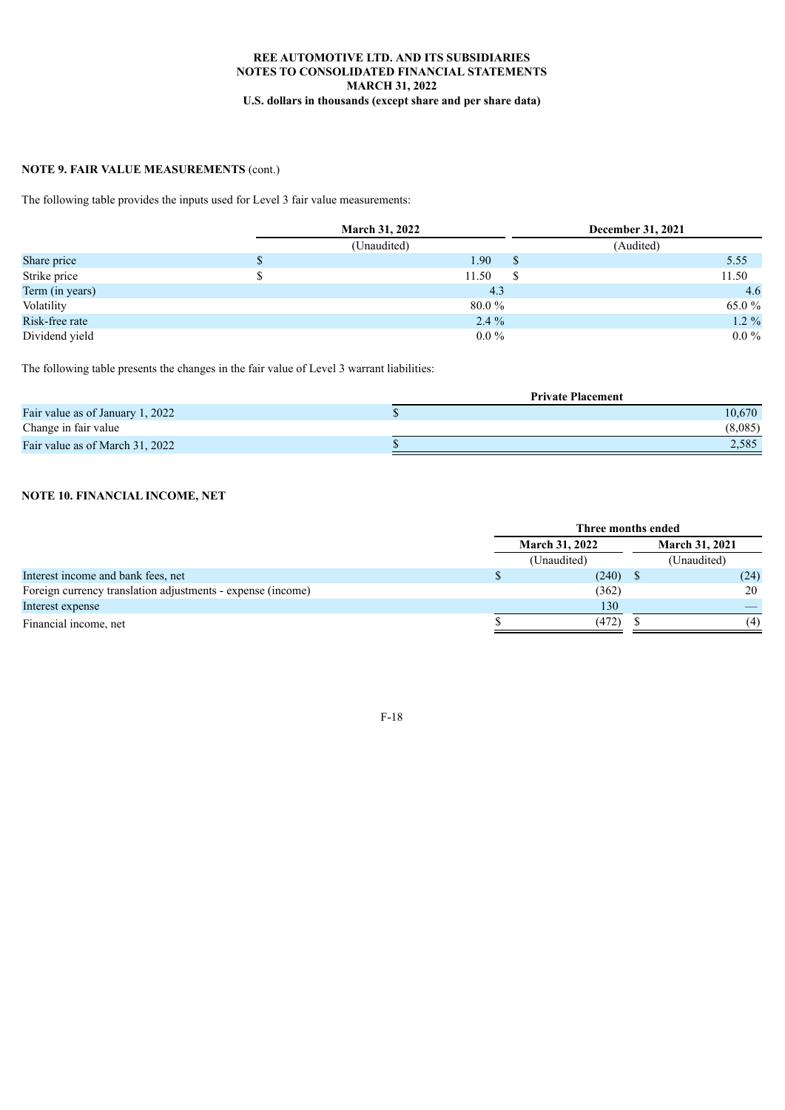# **NOTE 9. FAIR VALUE MEASUREMENTS** (cont.)

The following table provides the inputs used for Level 3 fair value measurements:

|                 |   | <b>March 31, 2022</b> |               | December 31, 2021 |         |
|-----------------|---|-----------------------|---------------|-------------------|---------|
|                 |   | (Unaudited)           |               | (Audited)         |         |
| Share price     | D | 1.90                  | <sup>\$</sup> |                   | 5.55    |
| Strike price    |   | 11.50                 | S             |                   | 11.50   |
| Term (in years) |   | 4.3                   |               |                   | 4.6     |
| Volatility      |   | $80.0 \%$             |               |                   | 65.0 %  |
| Risk-free rate  |   | $2.4\%$               |               |                   | $1.2\%$ |
| Dividend yield  |   | $0.0\%$               |               |                   | $0.0\%$ |

The following table presents the changes in the fair value of Level 3 warrant liabilities:

|                                  | <b>Private Placement</b> |
|----------------------------------|--------------------------|
| Fair value as of January 1, 2022 | 10,670                   |
| Change in fair value             | (8,085)                  |
| Fair value as of March 31, 2022  | 2,585                    |

### **NOTE 10. FINANCIAL INCOME, NET**

|                                                             | Three months ended    |             |                       |             |      |
|-------------------------------------------------------------|-----------------------|-------------|-----------------------|-------------|------|
|                                                             | <b>March 31, 2022</b> |             | <b>March 31, 2021</b> |             |      |
|                                                             |                       | (Unaudited) |                       | (Unaudited) |      |
| Interest income and bank fees, net                          |                       | (240)       |                       |             | (24) |
| Foreign currency translation adjustments - expense (income) |                       | (362)       |                       |             | 20   |
| Interest expense                                            |                       | 130         |                       |             |      |
| Financial income, net                                       |                       | (472)       |                       |             | (4)  |